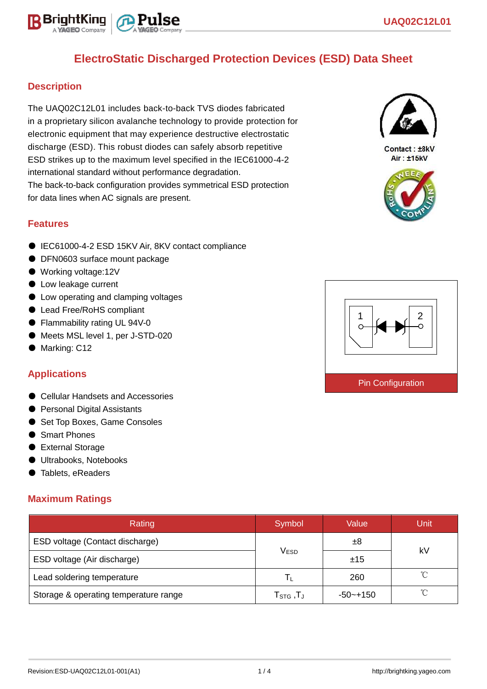# **ElectroStatic Discharged Protection Devices (ESD) Data Sheet**

### **Description**

The UAQ02C12L01 includes back-to-back TVS diodes fabricated in a proprietary silicon avalanche technology to provide protection for electronic equipment that may experience destructive electrostatic discharge (ESD). This robust diodes can safely absorb repetitive ESD strikes up to the maximum level specified in the IEC61000-4-2 international standard without performance degradation. The back-to-back configuration provides symmetrical ESD protection for data lines when AC signals are present.



Contact: ±8kV Air: ±15kV





### **Features**

- IEC61000-4-2 ESD 15KV Air, 8KV contact compliance
- DFN0603 surface mount package
- Working voltage:12V
- Low leakage current
- Low operating and clamping voltages
- Lead Free/RoHS compliant
- Flammability rating UL 94V-0
- Meets MSL level 1, per J-STD-020
- Marking: C12

### **Applications**

- Cellular Handsets and Accessories
- Personal Digital Assistants
- Set Top Boxes, Game Consoles
- Smart Phones
- External Storage
- Ultrabooks, Notebooks
- Tablets, eReaders

### **Maximum Ratings**

| Rating                                | Symbol                                                    | Value        | Unit       |  |
|---------------------------------------|-----------------------------------------------------------|--------------|------------|--|
| ESD voltage (Contact discharge)       |                                                           | ±8           | kV         |  |
| ESD voltage (Air discharge)           | <b>VESD</b>                                               | ±15          |            |  |
| Lead soldering temperature            | $\mathbf{L}$                                              | 260          | $\sim$     |  |
| Storage & operating temperature range | $\mathsf{T}_{\texttt{STG}}\,,\!\mathsf{T}_{\texttt{J}}\,$ | $-50 - +150$ | $^{\circ}$ |  |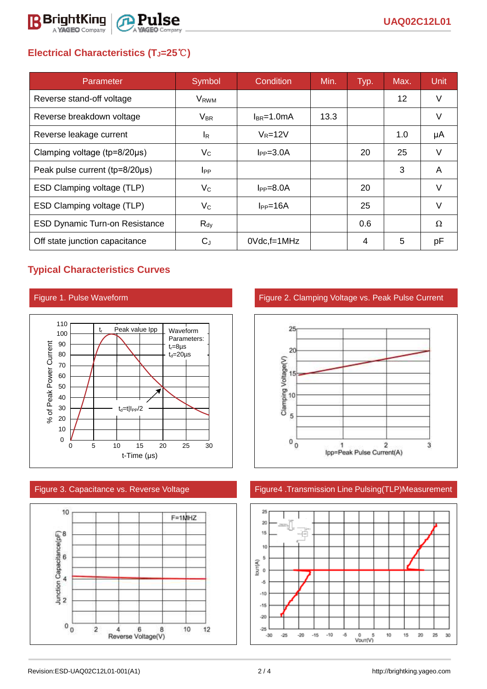

## **Electrical Characteristics (TJ=25**℃**)**

| Parameter                              | Symbol                  | Condition       | Min. | Typ. | Max. | <b>Unit</b> |
|----------------------------------------|-------------------------|-----------------|------|------|------|-------------|
| Reverse stand-off voltage              | <b>V</b> <sub>RWM</sub> |                 |      |      | 12   | V           |
| Reverse breakdown voltage              | $V_{\sf BR}$            | $I_{BR}$ =1.0mA | 13.3 |      |      | V           |
| Reverse leakage current                | $I_{\rm R}$             | $V_R = 12V$     |      |      | 1.0  | μA          |
| Clamping voltage ( $tp = 8/20 \mu s$ ) | $V_{\rm C}$             | $I_{PP} = 3.0A$ |      | 20   | 25   | V           |
| Peak pulse current (tp=8/20µs)         | $_{\rm lpp}$            |                 |      |      | 3    | A           |
| ESD Clamping voltage (TLP)             | $V_C$                   | $I_{PP} = 8.0A$ |      | 20   |      | $\vee$      |
| ESD Clamping voltage (TLP)             | $V_{\rm C}$             | $I_{PP} = 16A$  |      | 25   |      | $\vee$      |
| <b>ESD Dynamic Turn-on Resistance</b>  | $R_{dy}$                |                 |      | 0.6  |      | Ω           |
| Off state junction capacitance         | $C_{J}$                 | $0$ Vdc, f=1MHz |      | 4    | 5    | рF          |

## **Typical Characteristics Curves**





Figure 1. Pulse Waveform **Figure 2. Clamping Voltage vs. Peak Pulse Current** 



### Figure 3. Capacitance vs. Reverse Voltage Figure4 .Transmission Line Pulsing(TLP)Measurement

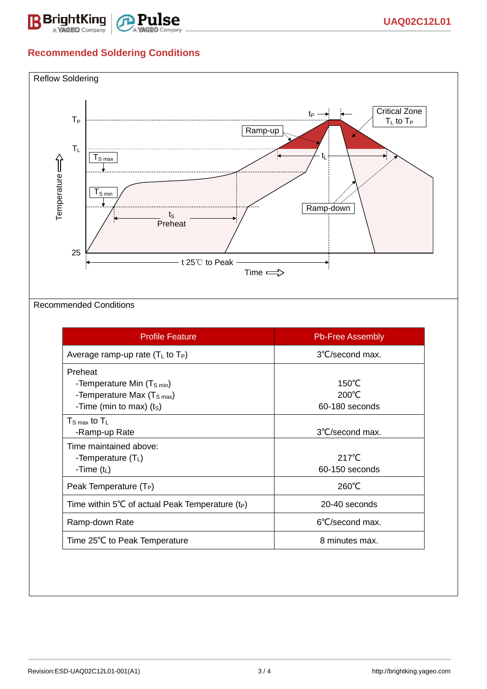

## **Recommended Soldering Conditions**